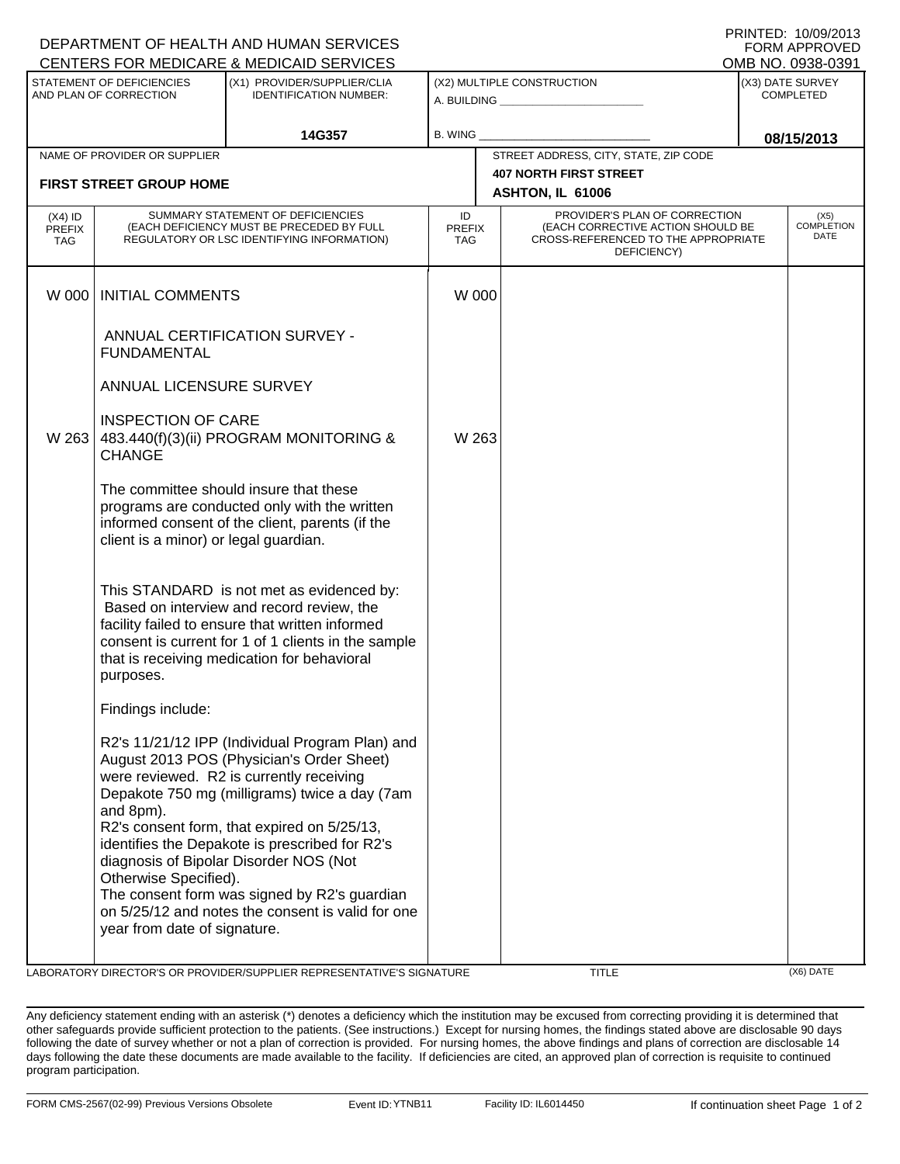| DEPARTMENT OF HEALTH AND HUMAN SERVICES                                  | <b>FORM APPROVED</b>                                                                                                                                                               |                                                                                                                                                                                                                                                                                                                                                                                                                                           |                                                                       |                                                                                                                          |                                      |            |                                   |  |  |  |  |
|--------------------------------------------------------------------------|------------------------------------------------------------------------------------------------------------------------------------------------------------------------------------|-------------------------------------------------------------------------------------------------------------------------------------------------------------------------------------------------------------------------------------------------------------------------------------------------------------------------------------------------------------------------------------------------------------------------------------------|-----------------------------------------------------------------------|--------------------------------------------------------------------------------------------------------------------------|--------------------------------------|------------|-----------------------------------|--|--|--|--|
| <b>CENTERS FOR MEDICARE &amp; MEDICAID SERVICES</b><br>OMB NO. 0938-0391 |                                                                                                                                                                                    |                                                                                                                                                                                                                                                                                                                                                                                                                                           |                                                                       |                                                                                                                          |                                      |            |                                   |  |  |  |  |
| STATEMENT OF DEFICIENCIES<br>AND PLAN OF CORRECTION                      |                                                                                                                                                                                    | (X1) PROVIDER/SUPPLIER/CLIA<br><b>IDENTIFICATION NUMBER:</b>                                                                                                                                                                                                                                                                                                                                                                              | (X2) MULTIPLE CONSTRUCTION<br>A. BUILDING <u>____________________</u> |                                                                                                                          | (X3) DATE SURVEY<br><b>COMPLETED</b> |            |                                   |  |  |  |  |
|                                                                          |                                                                                                                                                                                    | 14G357                                                                                                                                                                                                                                                                                                                                                                                                                                    | B. WING                                                               |                                                                                                                          |                                      | 08/15/2013 |                                   |  |  |  |  |
|                                                                          | NAME OF PROVIDER OR SUPPLIER                                                                                                                                                       |                                                                                                                                                                                                                                                                                                                                                                                                                                           |                                                                       | STREET ADDRESS, CITY, STATE, ZIP CODE                                                                                    |                                      |            |                                   |  |  |  |  |
| <b>FIRST STREET GROUP HOME</b>                                           |                                                                                                                                                                                    |                                                                                                                                                                                                                                                                                                                                                                                                                                           |                                                                       | <b>407 NORTH FIRST STREET</b><br>ASHTON, IL 61006                                                                        |                                      |            |                                   |  |  |  |  |
| $(X4)$ ID<br><b>PREFIX</b><br><b>TAG</b>                                 | SUMMARY STATEMENT OF DEFICIENCIES<br>(EACH DEFICIENCY MUST BE PRECEDED BY FULL<br>REGULATORY OR LSC IDENTIFYING INFORMATION)                                                       |                                                                                                                                                                                                                                                                                                                                                                                                                                           | ID<br><b>PREFIX</b><br><b>TAG</b>                                     | PROVIDER'S PLAN OF CORRECTION<br>(EACH CORRECTIVE ACTION SHOULD BE<br>CROSS-REFERENCED TO THE APPROPRIATE<br>DEFICIENCY) |                                      |            | (X5)<br><b>COMPLETION</b><br>DATE |  |  |  |  |
| W 000                                                                    | <b>INITIAL COMMENTS</b>                                                                                                                                                            |                                                                                                                                                                                                                                                                                                                                                                                                                                           | W 000                                                                 |                                                                                                                          |                                      |            |                                   |  |  |  |  |
|                                                                          | <b>FUNDAMENTAL</b>                                                                                                                                                                 | ANNUAL CERTIFICATION SURVEY -                                                                                                                                                                                                                                                                                                                                                                                                             |                                                                       |                                                                                                                          |                                      |            |                                   |  |  |  |  |
|                                                                          | ANNUAL LICENSURE SURVEY                                                                                                                                                            |                                                                                                                                                                                                                                                                                                                                                                                                                                           |                                                                       |                                                                                                                          |                                      |            |                                   |  |  |  |  |
| W 263                                                                    | <b>INSPECTION OF CARE</b><br><b>CHANGE</b>                                                                                                                                         | 483.440(f)(3)(ii) PROGRAM MONITORING &                                                                                                                                                                                                                                                                                                                                                                                                    | W 263                                                                 |                                                                                                                          |                                      |            |                                   |  |  |  |  |
|                                                                          | The committee should insure that these<br>programs are conducted only with the written<br>informed consent of the client, parents (if the<br>client is a minor) or legal guardian. |                                                                                                                                                                                                                                                                                                                                                                                                                                           |                                                                       |                                                                                                                          |                                      |            |                                   |  |  |  |  |
|                                                                          | purposes.                                                                                                                                                                          | This STANDARD is not met as evidenced by:<br>Based on interview and record review, the<br>facility failed to ensure that written informed<br>consent is current for 1 of 1 clients in the sample<br>that is receiving medication for behavioral                                                                                                                                                                                           |                                                                       |                                                                                                                          |                                      |            |                                   |  |  |  |  |
|                                                                          | Findings include:                                                                                                                                                                  |                                                                                                                                                                                                                                                                                                                                                                                                                                           |                                                                       |                                                                                                                          |                                      |            |                                   |  |  |  |  |
|                                                                          | and 8pm).<br>Otherwise Specified).<br>year from date of signature.                                                                                                                 | R2's 11/21/12 IPP (Individual Program Plan) and<br>August 2013 POS (Physician's Order Sheet)<br>were reviewed. R2 is currently receiving<br>Depakote 750 mg (milligrams) twice a day (7am<br>R2's consent form, that expired on 5/25/13,<br>identifies the Depakote is prescribed for R2's<br>diagnosis of Bipolar Disorder NOS (Not<br>The consent form was signed by R2's guardian<br>on 5/25/12 and notes the consent is valid for one |                                                                       |                                                                                                                          |                                      |            |                                   |  |  |  |  |
|                                                                          |                                                                                                                                                                                    |                                                                                                                                                                                                                                                                                                                                                                                                                                           |                                                                       |                                                                                                                          |                                      |            |                                   |  |  |  |  |

LABORATORY DIRECTOR'S OR PROVIDER/SUPPLIER REPRESENTATIVE'S SIGNATURE TITLE TITLE THE TITLE (X6) DATE

PRINTED: 10/09/2013

Any deficiency statement ending with an asterisk (\*) denotes a deficiency which the institution may be excused from correcting providing it is determined that other safeguards provide sufficient protection to the patients. (See instructions.) Except for nursing homes, the findings stated above are disclosable 90 days following the date of survey whether or not a plan of correction is provided. For nursing homes, the above findings and plans of correction are disclosable 14 days following the date these documents are made available to the facility. If deficiencies are cited, an approved plan of correction is requisite to continued program participation.